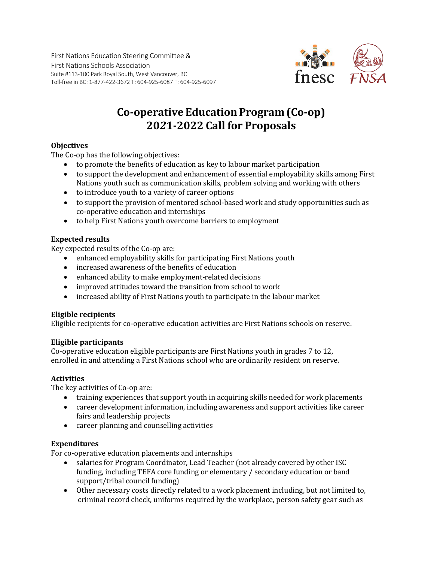First Nations Education Steering Committee & First Nations Schools Association Suite #113-100 Park Royal South, West Vancouver, BC Toll-free in BC: 1-877-422-3672 T: 604-925-6087 F: 604-925-6097



# **Co-operative EducationProgram(Co-op) 20***2***1-2022 Call for Proposals**

## **Objectives**

The Co-op has the following objectives:

- to promote the benefits of education as key to labour market participation
- to support the development and enhancement of essential employability skills among First Nations youth such as communication skills, problem solving and working with others
- to introduce youth to a variety of career options
- to support the provision of mentored school-based work and study opportunities such as co-operative education and internships
- to help First Nations youth overcome barriers to employment

## **Expected results**

Key expected results of the Co-op are:

- enhanced employability skills for participating First Nations youth
- increased awareness of the benefits of education
- enhanced ability to make employment-related decisions
- improved attitudes toward the transition from school to work
- increased ability of First Nations youth to participate in the labour market

### **Eligible recipients**

Eligible recipients for co-operative education activities are First Nations schools on reserve.

### **Eligible participants**

Co-operative education eligible participants are First Nations youth in grades 7 to 12, enrolled in and attending a First Nations school who are ordinarily resident on reserve.

### **Activities**

The key activities of Co-op are:

- training experiences that support youth in acquiring skills needed for work placements
- career development information, including awareness and support activities like career fairs and leadership projects
- career planning and counselling activities

### **Expenditures**

For co-operative education placements and internships

- salaries for Program Coordinator, Lead Teacher (not already covered by other ISC funding, including TEFA core funding or elementary / secondary education or band support/tribal council funding)
- Other necessary costs directly related to a work placement including, but not limited to, criminal record check, uniforms required by the workplace, person safety gear such as